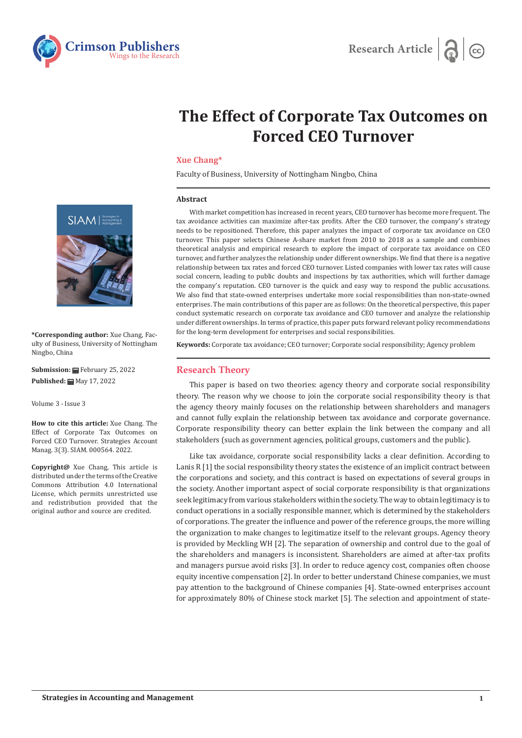



# **The Effect of Corporate Tax Outcomes on Forced CEO Turnover**

# **Xue Chang\***

Faculty of Business, University of Nottingham Ningbo, China

#### **Abstract**

With market competition has increased in recent years, CEO turnover has become more frequent. The tax avoidance activities can maximize after-tax profits. After the CEO turnover, the company's strategy needs to be repositioned. Therefore, this paper analyzes the impact of corporate tax avoidance on CEO turnover. This paper selects Chinese A-share market from 2010 to 2018 as a sample and combines theoretical analysis and empirical research to explore the impact of corporate tax avoidance on CEO turnover, and further analyzes the relationship under different ownerships. We find that there is a negative relationship between tax rates and forced CEO turnover. Listed companies with lower tax rates will cause social concern, leading to public doubts and inspections by tax authorities, which will further damage the company's reputation. CEO turnover is the quick and easy way to respond the public accusations. We also find that state-owned enterprises undertake more social responsibilities than non-state-owned enterprises. The main contributions of this paper are as follows: On the theoretical perspective, this paper conduct systematic research on corporate tax avoidance and CEO turnover and analyze the relationship under different ownerships. In terms of practice, this paper puts forward relevant policy recommendations for the long-term development for enterprises and social responsibilities.

**Keywords:** Corporate tax avoidance; CEO turnover; Corporate social responsibility; Agency problem

#### **Research Theory**

This paper is based on two theories: agency theory and corporate social responsibility theory. The reason why we choose to join the corporate social responsibility theory is that the agency theory mainly focuses on the relationship between shareholders and managers and cannot fully explain the relationship between tax avoidance and corporate governance. Corporate responsibility theory can better explain the link between the company and all stakeholders (such as government agencies, political groups, customers and the public).

Like tax avoidance, corporate social responsibility lacks a clear definition. According to Lanis R [1] the social responsibility theory states the existence of an implicit contract between the corporations and society, and this contract is based on expectations of several groups in the society. Another important aspect of social corporate responsibility is that organizations seek legitimacy from various stakeholders within the society. The way to obtain legitimacy is to conduct operations in a socially responsible manner, which is determined by the stakeholders of corporations. The greater the influence and power of the reference groups, the more willing the organization to make changes to legitimatize itself to the relevant groups. Agency theory is provided by Meckling WH [2]. The separation of ownership and control due to the goal of the shareholders and managers is inconsistent. Shareholders are aimed at after-tax profits and managers pursue avoid risks [3]. In order to reduce agency cost, companies often choose equity incentive compensation [2]. In order to better understand Chinese companies, we must pay attention to the background of Chinese companies [4]. State-owned enterprises account for approximately 80% of Chinese stock market [5]. The selection and appointment of state-



**\*Corresponding author:** Xue Chang, Faculty of Business, University of Nottingham Ningbo, China

**Submission:** February 25, 2022 **Published:** May 17, 2022

Volume 3 - Issue 3

**How to cite this article:** Xue Chang. The Effect of Corporate Tax Outcomes on Forced CEO Turnover. Strategies Account Manag. 3(3). SIAM. 000564. 2022.

**Copyright@** Xue Chang, This article is distributed under the terms of the Creative Commons Attribution 4.0 International License, which permits unrestricted use and redistribution provided that the original author and source are credited.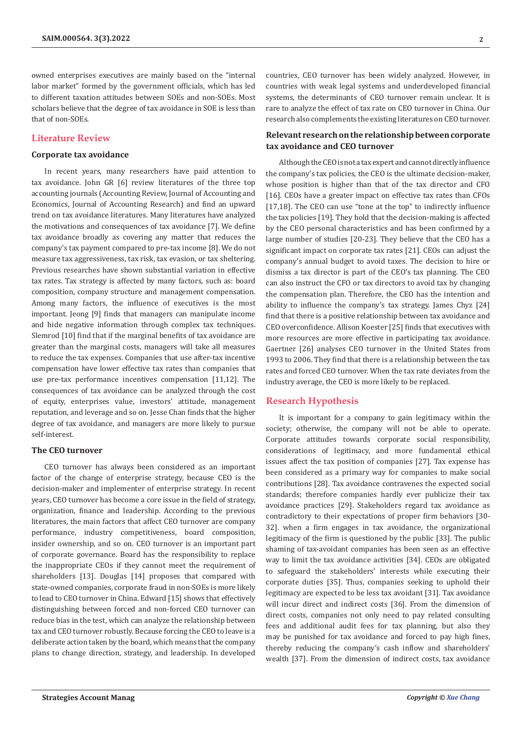owned enterprises executives are mainly based on the "internal labor market" formed by the government officials, which has led to different taxation attitudes between SOEs and non-SOEs. Most scholars believe that the degree of tax avoidance in SOE is less than that of non-SOEs.

# **Literature Review**

### **Corporate tax avoidance**

In recent years, many researchers have paid attention to tax avoidance. John GR [6] review literatures of the three top accounting journals (Accounting Review, Journal of Accounting and Economics, Journal of Accounting Research) and find an upward trend on tax avoidance literatures. Many literatures have analyzed the motivations and consequences of tax avoidance [7]. We define tax avoidance broadly as covering any matter that reduces the company's tax payment compared to pre-tax income [8]. We do not measure tax aggressiveness, tax risk, tax evasion, or tax sheltering. Previous researches have shown substantial variation in effective tax rates. Tax strategy is affected by many factors, such as: board composition, company structure and management compensation. Among many factors, the influence of executives is the most important. Jeong [9] finds that managers can manipulate income and hide negative information through complex tax techniques. Slemrod [10] find that if the marginal benefits of tax avoidance are greater than the marginal costs, managers will take all measures to reduce the tax expenses. Companies that use after-tax incentive compensation have lower effective tax rates than companies that use pre-tax performance incentives compensation [11,12]. The consequences of tax avoidance can be analyzed through the cost of equity, enterprises value, investors' attitude, management reputation, and leverage and so on. Jesse Chan finds that the higher degree of tax avoidance, and managers are more likely to pursue self-interest.

#### **The CEO turnover**

CEO turnover has always been considered as an important factor of the change of enterprise strategy, because CEO is the decision-maker and implementer of enterprise strategy. In recent years, CEO turnover has become a core issue in the field of strategy, organization, finance and leadership. According to the previous literatures, the main factors that affect CEO turnover are company performance, industry competitiveness, board composition, insider ownership, and so on. CEO turnover is an important part of corporate governance. Board has the responsibility to replace the inappropriate CEOs if they cannot meet the requirement of shareholders [13]. Douglas [14] proposes that compared with state-owned companies, corporate fraud in non-SOEs is more likely to lead to CEO turnover in China. Edward [15] shows that effectively distinguishing between forced and non-forced CEO turnover can reduce bias in the test, which can analyze the relationship between tax and CEO turnover robustly. Because forcing the CEO to leave is a deliberate action taken by the board, which means that the company plans to change direction, strategy, and leadership. In developed

countries, CEO turnover has been widely analyzed. However, in countries with weak legal systems and underdeveloped financial systems, the determinants of CEO turnover remain unclear. It is rare to analyze the effect of tax rate on CEO turnover in China. Our research also complements the existing literatures on CEO turnover.

# **Relevant research on the relationship between corporate tax avoidance and CEO turnover**

Although the CEO is not a tax expert and cannot directly influence the company's tax policies, the CEO is the ultimate decision-maker, whose position is higher than that of the tax director and CFO [16]. CEOs have a greater impact on effective tax rates than CFOs [17,18]. The CEO can use "tone at the top" to indirectly influence the tax policies [19]. They hold that the decision-making is affected by the CEO personal characteristics and has been confirmed by a large number of studies [20-23]. They believe that the CEO has a significant impact on corporate tax rates [21]. CEOs can adjust the company's annual budget to avoid taxes. The decision to hire or dismiss a tax director is part of the CEO's tax planning. The CEO can also instruct the CFO or tax directors to avoid tax by changing the compensation plan. Therefore, the CEO has the intention and ability to influence the company's tax strategy. James Chyz [24] find that there is a positive relationship between tax avoidance and CEO overconfidence. Allison Koester [25] finds that executives with more resources are more effective in participating tax avoidance. Gaertner [26] analyses CEO turnover in the United States from 1993 to 2006. They find that there is a relationship between the tax rates and forced CEO turnover. When the tax rate deviates from the industry average, the CEO is more likely to be replaced.

# **Research Hypothesis**

It is important for a company to gain legitimacy within the society; otherwise, the company will not be able to operate. Corporate attitudes towards corporate social responsibility, considerations of legitimacy, and more fundamental ethical issues affect the tax position of companies [27]. Tax expense has been considered as a primary way for companies to make social contributions [28]. Tax avoidance contravenes the expected social standards; therefore companies hardly ever publicize their tax avoidance practices [29]. Stakeholders regard tax avoidance as contradictory to their expectations of proper firm behaviors [30- 32]. when a firm engages in tax avoidance, the organizational legitimacy of the firm is questioned by the public [33]. The public shaming of tax-avoidant companies has been seen as an effective way to limit the tax avoidance activities [34]. CEOs are obligated to safeguard the stakeholders' interests while executing their corporate duties [35]. Thus, companies seeking to uphold their legitimacy are expected to be less tax avoidant [31]. Tax avoidance will incur direct and indirect costs [36]. From the dimension of direct costs, companies not only need to pay related consulting fees and additional audit fees for tax planning, but also they may be punished for tax avoidance and forced to pay high fines, thereby reducing the company's cash inflow and shareholders' wealth [37]. From the dimension of indirect costs, tax avoidance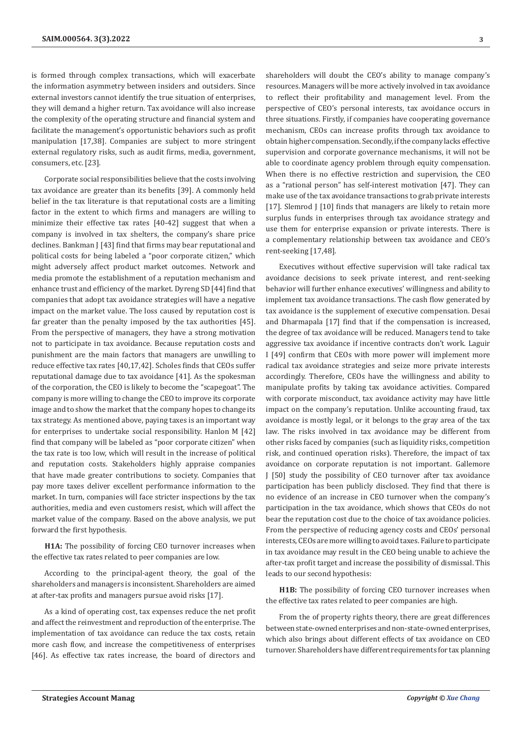is formed through complex transactions, which will exacerbate the information asymmetry between insiders and outsiders. Since external investors cannot identify the true situation of enterprises, they will demand a higher return. Tax avoidance will also increase the complexity of the operating structure and financial system and facilitate the management's opportunistic behaviors such as profit manipulation [17,38]. Companies are subject to more stringent external regulatory risks, such as audit firms, media, government, consumers, etc. [23].

Corporate social responsibilities believe that the costs involving tax avoidance are greater than its benefits [39]. A commonly held belief in the tax literature is that reputational costs are a limiting factor in the extent to which firms and managers are willing to minimize their effective tax rates [40-42] suggest that when a company is involved in tax shelters, the company's share price declines. Bankman J [43] find that firms may bear reputational and political costs for being labeled a "poor corporate citizen," which might adversely affect product market outcomes. Network and media promote the establishment of a reputation mechanism and enhance trust and efficiency of the market. Dyreng SD [44] find that companies that adopt tax avoidance strategies will have a negative impact on the market value. The loss caused by reputation cost is far greater than the penalty imposed by the tax authorities [45]. From the perspective of managers, they have a strong motivation not to participate in tax avoidance. Because reputation costs and punishment are the main factors that managers are unwilling to reduce effective tax rates [40,17,42]. Scholes finds that CEOs suffer reputational damage due to tax avoidance [41]. As the spokesman of the corporation, the CEO is likely to become the "scapegoat". The company is more willing to change the CEO to improve its corporate image and to show the market that the company hopes to change its tax strategy. As mentioned above, paying taxes is an important way for enterprises to undertake social responsibility. Hanlon M [42] find that company will be labeled as "poor corporate citizen" when the tax rate is too low, which will result in the increase of political and reputation costs. Stakeholders highly appraise companies that have made greater contributions to society. Companies that pay more taxes deliver excellent performance information to the market. In turn, companies will face stricter inspections by the tax authorities, media and even customers resist, which will affect the market value of the company. Based on the above analysis, we put forward the first hypothesis.

**H1A:** The possibility of forcing CEO turnover increases when the effective tax rates related to peer companies are low.

According to the principal-agent theory, the goal of the shareholders and managers is inconsistent. Shareholders are aimed at after-tax profits and managers pursue avoid risks [17].

As a kind of operating cost, tax expenses reduce the net profit and affect the reinvestment and reproduction of the enterprise. The implementation of tax avoidance can reduce the tax costs, retain more cash flow, and increase the competitiveness of enterprises [46]. As effective tax rates increase, the board of directors and

shareholders will doubt the CEO's ability to manage company's resources. Managers will be more actively involved in tax avoidance to reflect their profitability and management level. From the perspective of CEO's personal interests, tax avoidance occurs in three situations. Firstly, if companies have cooperating governance mechanism, CEOs can increase profits through tax avoidance to obtain higher compensation. Secondly, if the company lacks effective supervision and corporate governance mechanisms, it will not be able to coordinate agency problem through equity compensation. When there is no effective restriction and supervision, the CEO as a "rational person" has self-interest motivation [47]. They can make use of the tax avoidance transactions to grab private interests [17]. Slemrod J [10] finds that managers are likely to retain more surplus funds in enterprises through tax avoidance strategy and use them for enterprise expansion or private interests. There is a complementary relationship between tax avoidance and CEO's rent-seeking [17,48].

Executives without effective supervision will take radical tax avoidance decisions to seek private interest, and rent-seeking behavior will further enhance executives' willingness and ability to implement tax avoidance transactions. The cash flow generated by tax avoidance is the supplement of executive compensation. Desai and Dharmapala [17] find that if the compensation is increased, the degree of tax avoidance will be reduced. Managers tend to take aggressive tax avoidance if incentive contracts don't work. Laguir I [49] confirm that CEOs with more power will implement more radical tax avoidance strategies and seize more private interests accordingly. Therefore, CEOs have the willingness and ability to manipulate profits by taking tax avoidance activities. Compared with corporate misconduct, tax avoidance activity may have little impact on the company's reputation. Unlike accounting fraud, tax avoidance is mostly legal, or it belongs to the gray area of the tax law. The risks involved in tax avoidance may be different from other risks faced by companies (such as liquidity risks, competition risk, and continued operation risks). Therefore, the impact of tax avoidance on corporate reputation is not important. Gallemore J [50] study the possibility of CEO turnover after tax avoidance participation has been publicly disclosed. They find that there is no evidence of an increase in CEO turnover when the company's participation in the tax avoidance, which shows that CEOs do not bear the reputation cost due to the choice of tax avoidance policies. From the perspective of reducing agency costs and CEOs' personal interests, CEOs are more willing to avoid taxes. Failure to participate in tax avoidance may result in the CEO being unable to achieve the after-tax profit target and increase the possibility of dismissal. This leads to our second hypothesis:

**H1B:** The possibility of forcing CEO turnover increases when the effective tax rates related to peer companies are high.

From the of property rights theory, there are great differences between state-owned enterprises and non-state-owned enterprises, which also brings about different effects of tax avoidance on CEO turnover. Shareholders have different requirements for tax planning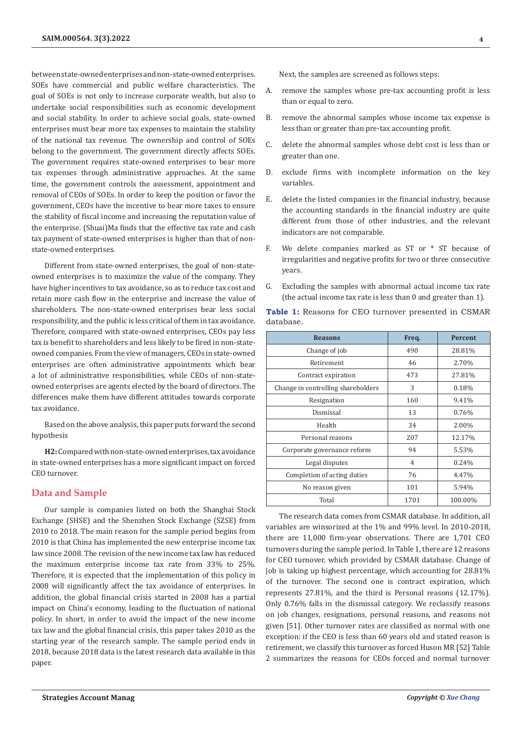between state-owned enterprises and non-state-owned enterprises. SOEs have commercial and public welfare characteristics. The goal of SOEs is not only to increase corporate wealth, but also to undertake social responsibilities such as economic development and social stability. In order to achieve social goals, state-owned enterprises must bear more tax expenses to maintain the stability of the national tax revenue. The ownership and control of SOEs belong to the government. The government directly affects SOEs. The government requires state-owned enterprises to bear more tax expenses through administrative approaches. At the same time, the government controls the assessment, appointment and removal of CEOs of SOEs. In order to keep the position or favor the government, CEOs have the incentive to bear more taxes to ensure the stability of fiscal income and increasing the reputation value of the enterprise. (Shuai)Ma finds that the effective tax rate and cash tax payment of state-owned enterprises is higher than that of nonstate-owned enterprises.

Different from state-owned enterprises, the goal of non-stateowned enterprises is to maximize the value of the company. They have higher incentives to tax avoidance, so as to reduce tax cost and retain more cash flow in the enterprise and increase the value of shareholders. The non-state-owned enterprises bear less social responsibility, and the public is less critical of them in tax avoidance. Therefore, compared with state-owned enterprises, CEOs pay less tax is benefit to shareholders and less likely to be fired in non-stateowned companies. From the view of managers, CEOs in state-owned enterprises are often administrative appointments which bear a lot of administrative responsibilities, while CEOs of non-stateowned enterprises are agents elected by the board of directors. The differences make them have different attitudes towards corporate tax avoidance.

Based on the above analysis, this paper puts forward the second hypothesis

**H2:** Compared with non-state-owned enterprises, tax avoidance in state-owned enterprises has a more significant impact on forced CEO turnover.

# **Data and Sample**

Our sample is companies listed on both the Shanghai Stock Exchange (SHSE) and the Shenzhen Stock Exchange (SZSE) from 2010 to 2018. The main reason for the sample period begins from 2010 is that China has implemented the new enterprise income tax law since 2008. The revision of the new income tax law has reduced the maximum enterprise income tax rate from 33% to 25%. Therefore, it is expected that the implementation of this policy in 2008 will significantly affect the tax avoidance of enterprises. In addition, the global financial crisis started in 2008 has a partial impact on China's economy, leading to the fluctuation of national policy. In short, in order to avoid the impact of the new income tax law and the global financial crisis, this paper takes 2010 as the starting year of the research sample. The sample period ends in 2018, because 2018 data is the latest research data available in this paper.

Next, the samples are screened as follows steps:

- A. remove the samples whose pre-tax accounting profit is less than or equal to zero.
- B. remove the abnormal samples whose income tax expense is less than or greater than pre-tax accounting profit.
- C. delete the abnormal samples whose debt cost is less than or greater than one.
- D. exclude firms with incomplete information on the key variables.
- E. delete the listed companies in the financial industry, because the accounting standards in the financial industry are quite different from those of other industries, and the relevant indicators are not comparable.
- F. We delete companies marked as ST or \* ST because of irregularities and negative profits for two or three consecutive years.
- G. Excluding the samples with abnormal actual income tax rate (the actual income tax rate is less than 0 and greater than 1).

**Table 1:** Reasons for CEO turnover presented in CSMAR database.

| <b>Reasons</b>                     | Freq.          | <b>Percent</b> |
|------------------------------------|----------------|----------------|
| Change of job                      | 490            | 28.81%         |
| Retirement                         | 46             | 2.70%          |
| Contract expiration                | 473            | 27.81%         |
| Change in controlling shareholders | 3              | 0.18%          |
| Resignation                        | 160            | 9.41%          |
| Dismissal                          | 13             | 0.76%          |
| Health                             | 34             | 2.00%          |
| Personal reasons                   | 207            | 12.17%         |
| Corporate governance reform        | 94             | 5.53%          |
| Legal disputes                     | $\overline{4}$ | 0.24%          |
| Completion of acting duties        | 76             | 4.47%          |
| No reason given                    | 101            | 5.94%          |
| Total                              | 1701           | 100.00%        |

The research data comes from CSMAR database. In addition, all variables are winsorized at the 1% and 99% level. In 2010-2018, there are 11,000 firm-year observations. There are 1,701 CEO turnovers during the sample period. In Table 1, there are 12 reasons for CEO turnover, which provided by CSMAR database. Change of job is taking up highest percentage, which accounting for 28.81% of the turnover. The second one is contract expiration, which represents 27.81%, and the third is Personal reasons (12.17%). Only 0.76% falls in the dismissal category. We reclassify reasons on job changes, resignations, personal reasons, and reasons not given [51]. Other turnover rates are classified as normal with one exception: if the CEO is less than 60 years old and stated reason is retirement, we classify this turnover as forced Huson MR [52] Table 2 summarizes the reasons for CEOs forced and normal turnover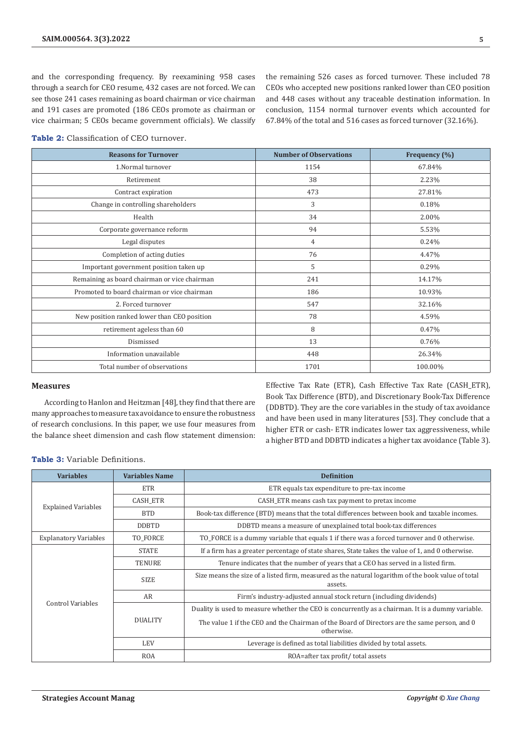and the corresponding frequency. By reexamining 958 cases through a search for CEO resume, 432 cases are not forced. We can see those 241 cases remaining as board chairman or vice chairman and 191 cases are promoted (186 CEOs promote as chairman or vice chairman; 5 CEOs became government officials). We classify

the remaining 526 cases as forced turnover. These included 78 CEOs who accepted new positions ranked lower than CEO position and 448 cases without any traceable destination information. In conclusion, 1154 normal turnover events which accounted for 67.84% of the total and 516 cases as forced turnover (32.16%).

| <b>Reasons for Turnover</b>                  | <b>Number of Observations</b> | Frequency (%) |
|----------------------------------------------|-------------------------------|---------------|
| 1.Normal turnover                            | 1154                          | 67.84%        |
| Retirement                                   | 38                            | 2.23%         |
| Contract expiration                          | 473                           | 27.81%        |
| Change in controlling shareholders           | 3                             | 0.18%         |
| Health                                       | 34                            | 2.00%         |
| Corporate governance reform                  | 94                            | 5.53%         |
| Legal disputes                               | $\overline{4}$                | 0.24%         |
| Completion of acting duties                  | 76                            | 4.47%         |
| Important government position taken up       | 5                             | 0.29%         |
| Remaining as board chairman or vice chairman | 241                           | 14.17%        |
| Promoted to board chairman or vice chairman  | 186                           | 10.93%        |
| 2. Forced turnover                           | 547                           | 32.16%        |
| New position ranked lower than CEO position  | 78                            | 4.59%         |
| retirement ageless than 60                   | 8                             | 0.47%         |
| Dismissed                                    | 13                            | 0.76%         |
| Information unavailable                      | 448                           | 26.34%        |
| Total number of observations                 | 1701                          | 100.00%       |

**Table 2:** Classification of CEO turnover.

#### **Measures**

According to Hanlon and Heitzman [48], they find that there are many approaches to measure tax avoidance to ensure the robustness of research conclusions. In this paper, we use four measures from the balance sheet dimension and cash flow statement dimension:

Effective Tax Rate (ETR), Cash Effective Tax Rate (CASH\_ETR), Book Tax Difference (BTD), and Discretionary Book-Tax Difference (DDBTD). They are the core variables in the study of tax avoidance and have been used in many literatures [53]. They conclude that a higher ETR or cash- ETR indicates lower tax aggressiveness, while a higher BTD and DDBTD indicates a higher tax avoidance (Table 3).

**Table 3:** Variable Definitions.

| <b>Variables</b>             | <b>Variables Name</b> | <b>Definition</b>                                                                                             |  |
|------------------------------|-----------------------|---------------------------------------------------------------------------------------------------------------|--|
|                              | ETR                   | ETR equals tax expenditure to pre-tax income                                                                  |  |
|                              | <b>CASH ETR</b>       | CASH_ETR means cash tax payment to pretax income                                                              |  |
| <b>Explained Variables</b>   | <b>BTD</b>            | Book-tax difference (BTD) means that the total differences between book and taxable incomes.                  |  |
|                              | <b>DDBTD</b>          | DDBTD means a measure of unexplained total book-tax differences                                               |  |
| <b>Explanatory Variables</b> | TO FORCE              | TO_FORCE is a dummy variable that equals 1 if there was a forced turnover and 0 otherwise.                    |  |
|                              | <b>STATE</b>          | If a firm has a greater percentage of state shares, State takes the value of 1, and 0 otherwise.              |  |
|                              | <b>TENURE</b>         | Tenure indicates that the number of years that a CEO has served in a listed firm.                             |  |
|                              | <b>SIZE</b>           | Size means the size of a listed firm, measured as the natural logarithm of the book value of total<br>assets. |  |
|                              | AR                    | Firm's industry-adjusted annual stock return (including dividends)                                            |  |
| Control Variables            |                       | Duality is used to measure whether the CEO is concurrently as a chairman. It is a dummy variable.             |  |
|                              | <b>DUALITY</b>        | The value 1 if the CEO and the Chairman of the Board of Directors are the same person, and 0<br>otherwise.    |  |
|                              | <b>LEV</b>            | Leverage is defined as total liabilities divided by total assets.                                             |  |
|                              | <b>ROA</b>            | ROA=after tax profit/total assets                                                                             |  |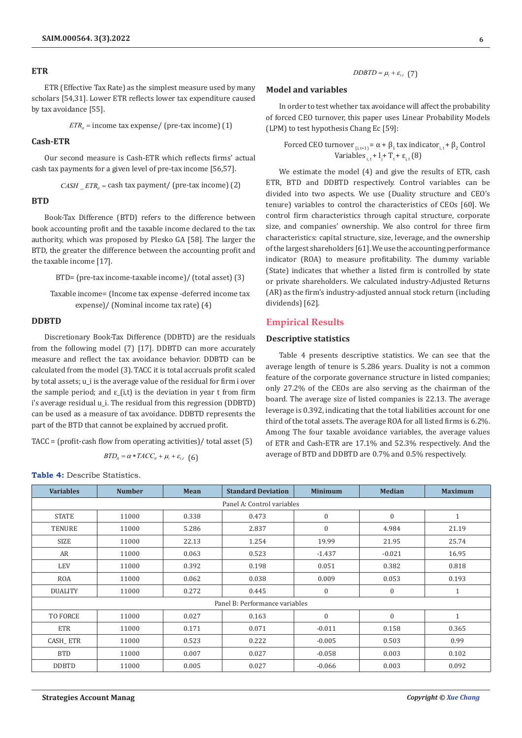#### **ETR**

ETR (Effective Tax Rate) as the simplest measure used by many scholars [54,31]. Lower ETR reflects lower tax expenditure caused by tax avoidance [55].

 $ETR<sub>h</sub>$  = income tax expense/ (pre-tax income) (1)

## **Cash-ETR**

Our second measure is Cash-ETR which reflects firms' actual cash tax payments for a given level of pre-tax income [56,57].

$$
CASH\_ETR_{u} = \text{cash tax payment/ (pre-tax income)} (2)
$$

#### **BTD**

Book-Tax Difference (BTD) refers to the difference between book accounting profit and the taxable income declared to the tax authority, which was proposed by Plesko GA [58]. The larger the BTD, the greater the difference between the accounting profit and the taxable income [17].

BTD= (pre-tax income-taxable income)/ (total asset) (3)

Taxable income= (Income tax expense -deferred income tax expense)/ (Nominal income tax rate) (4)

#### **DDBTD**

Discretionary Book-Tax Difference (DDBTD) are the residuals from the following model (7) [17]. DDBTD can more accurately measure and reflect the tax avoidance behavior. DDBTD can be calculated from the model (3). TACC it is total accruals profit scaled by total assets; u\_i is the average value of the residual for firm i over the sample period; and  $\varepsilon$ <sub>-</sub>(i,t) is the deviation in year t from firm i's average residual u\_i. The residual from this regression (DDBTD) can be used as a measure of tax avoidance. DDBTD represents the part of the BTD that cannot be explained by accrued profit.

TACC = (profit-cash flow from operating activities)/ total asset (5)

$$
BTD_u = \alpha * TACC_u + \mu_i + \varepsilon_{i,t} \ \ \text{(6)}
$$

# $DDBTD = \mu_i + \varepsilon_{i,t}$  (7)

## **Model and variables**

In order to test whether tax avoidance will affect the probability of forced CEO turnover, this paper uses Linear Probability Models (LPM) to test hypothesis Chang Ec [59]:

Forced CEO turnover  $_{(i, t+1)} = \alpha + \beta_1$  tax indicator<sub>i, t</sub> +  $\beta_2$  Control Variables  $_{i,t}$  +  $I_j$  +  $T_t$  +  $\varepsilon_{i,t}$  (8)

We estimate the model (4) and give the results of ETR, cash ETR, BTD and DDBTD respectively. Control variables can be divided into two aspects. We use (Duality structure and CEO's tenure) variables to control the characteristics of CEOs [60]. We control firm characteristics through capital structure, corporate size, and companies' ownership. We also control for three firm characteristics: capital structure, size, leverage, and the ownership of the largest shareholders [61]. We use the accounting performance indicator (ROA) to measure profitability. The dummy variable (State) indicates that whether a listed firm is controlled by state or private shareholders. We calculated industry-Adjusted Returns (AR) as the firm's industry-adjusted annual stock return (including dividends) [62].

# **Empirical Results**

#### **Descriptive statistics**

Table 4 presents descriptive statistics. We can see that the average length of tenure is 5.286 years. Duality is not a common feature of the corporate governance structure in listed companies; only 27.2% of the CEOs are also serving as the chairman of the board. The average size of listed companies is 22.13. The average leverage is 0.392, indicating that the total liabilities account for one third of the total assets. The average ROA for all listed firms is 6.2%. Among The four taxable avoidance variables, the average values of ETR and Cash-ETR are 17.1% and 52.3% respectively. And the average of BTD and DDBTD are 0.7% and 0.5% respectively.

**Table 4:** Describe Statistics.

| <b>Variables</b> | <b>Number</b> | Mean  | <b>Standard Deviation</b>      | <b>Minimum</b>   | <b>Median</b> | <b>Maximum</b> |
|------------------|---------------|-------|--------------------------------|------------------|---------------|----------------|
|                  |               |       | Panel A: Control variables     |                  |               |                |
| <b>STATE</b>     | 11000         | 0.338 | 0.473                          | $\mathbf{0}$     | $\Omega$      | $\mathbf{1}$   |
| <b>TENURE</b>    | 11000         | 5.286 | 2.837                          | $\boldsymbol{0}$ | 4.984         | 21.19          |
| SIZE             | 11000         | 22.13 | 1.254                          | 19.99            | 21.95         | 25.74          |
| AR               | 11000         | 0.063 | 0.523                          | $-1.437$         | $-0.021$      | 16.95          |
| <b>LEV</b>       | 11000         | 0.392 | 0.198                          | 0.051            | 0.382         | 0.818          |
| <b>ROA</b>       | 11000         | 0.062 | 0.038                          | 0.009            | 0.053         | 0.193          |
| <b>DUALITY</b>   | 11000         | 0.272 | 0.445                          | $\boldsymbol{0}$ | $\mathbf{0}$  | 1              |
|                  |               |       | Panel B: Performance variables |                  |               |                |
| <b>TO FORCE</b>  | 11000         | 0.027 | 0.163                          | $\mathbf{0}$     | $\mathbf{0}$  | $\mathbf{1}$   |
| <b>ETR</b>       | 11000         | 0.171 | 0.071                          | $-0.011$         | 0.158         | 0.365          |
| CASH ETR         | 11000         | 0.523 | 0.222                          | $-0.005$         | 0.503         | 0.99           |
| <b>BTD</b>       | 11000         | 0.007 | 0.027                          | $-0.058$         | 0.003         | 0.102          |
| <b>DDBTD</b>     | 11000         | 0.005 | 0.027                          | $-0.066$         | 0.003         | 0.092          |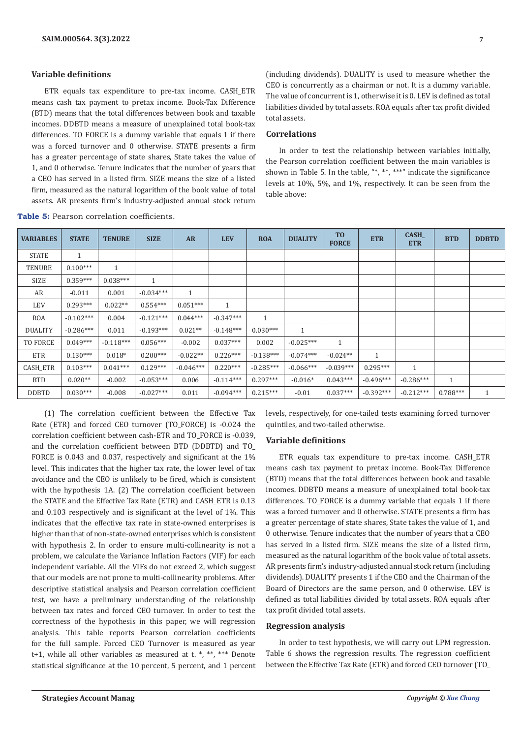# **Variable definitions**

ETR equals tax expenditure to pre-tax income. CASH\_ETR means cash tax payment to pretax income. Book-Tax Difference (BTD) means that the total differences between book and taxable incomes. DDBTD means a measure of unexplained total book-tax differences. TO\_FORCE is a dummy variable that equals 1 if there was a forced turnover and 0 otherwise. STATE presents a firm has a greater percentage of state shares, State takes the value of 1, and 0 otherwise. Tenure indicates that the number of years that a CEO has served in a listed firm. SIZE means the size of a listed firm, measured as the natural logarithm of the book value of total assets. AR presents firm's industry-adjusted annual stock return

(including dividends). DUALITY is used to measure whether the CEO is concurrently as a chairman or not. It is a dummy variable. The value of concurrent is 1, otherwise it is 0. LEV is defined as total liabilities divided by total assets. ROA equals after tax profit divided total assets.

# **Correlations**

In order to test the relationship between variables initially, the Pearson correlation coefficient between the main variables is shown in Table 5. In the table, "\*, \*\*, \*\*\*" indicate the significance levels at 10%, 5%, and 1%, respectively. It can be seen from the table above:

| <b>VARIABLES</b> | <b>STATE</b> | <b>TENURE</b> | <b>SIZE</b> | <b>AR</b>    | <b>LEV</b>   | <b>ROA</b>   | <b>DUALITY</b> | T <sub>0</sub><br><b>FORCE</b> | <b>ETR</b>   | CASH_<br><b>ETR</b> | <b>BTD</b>   | <b>DDBTD</b> |
|------------------|--------------|---------------|-------------|--------------|--------------|--------------|----------------|--------------------------------|--------------|---------------------|--------------|--------------|
| <b>STATE</b>     | $\mathbf{1}$ |               |             |              |              |              |                |                                |              |                     |              |              |
| <b>TENURE</b>    | $0.100***$   | $\mathbf{1}$  |             |              |              |              |                |                                |              |                     |              |              |
| SIZE             | $0.359***$   | $0.038***$    | 1           |              |              |              |                |                                |              |                     |              |              |
| AR               | $-0.011$     | 0.001         | $-0.034***$ | $\mathbf{1}$ |              |              |                |                                |              |                     |              |              |
| LEV              | $0.293***$   | $0.022**$     | $0.554***$  | $0.051***$   | $\mathbf{1}$ |              |                |                                |              |                     |              |              |
| <b>ROA</b>       | $-0.102***$  | 0.004         | $-0.121***$ | $0.044***$   | $-0.347***$  | $\mathbf{1}$ |                |                                |              |                     |              |              |
| <b>DUALITY</b>   | $-0.286***$  | 0.011         | $-0.193***$ | $0.021**$    | $-0.148***$  | $0.030***$   | $\mathbf{1}$   |                                |              |                     |              |              |
| <b>TO FORCE</b>  | $0.049***$   | $-0.118***$   | $0.056***$  | $-0.002$     | $0.037***$   | 0.002        | $-0.025***$    | 1                              |              |                     |              |              |
| <b>ETR</b>       | $0.130***$   | $0.018*$      | $0.200***$  | $-0.022**$   | $0.226***$   | $-0.138***$  | $-0.074***$    | $-0.024**$                     | $\mathbf{1}$ |                     |              |              |
| <b>CASH ETR</b>  | $0.103***$   | $0.041***$    | $0.129***$  | $-0.046***$  | $0.220***$   | $-0.285***$  | $-0.066***$    | $-0.039***$                    | $0.295***$   | $\mathbf{1}$        |              |              |
| <b>BTD</b>       | $0.020**$    | $-0.002$      | $-0.053***$ | 0.006        | $-0.114***$  | $0.297***$   | $-0.016*$      | $0.043***$                     | $-0.496***$  | $-0.286***$         | $\mathbf{1}$ |              |
| <b>DDBTD</b>     | $0.030***$   | $-0.008$      | $-0.027***$ | 0.011        | $-0.094***$  | $0.215***$   | $-0.01$        | $0.037***$                     | $-0.392***$  | $-0.212***$         | $0.788***$   | $\mathbf{1}$ |

**Table 5:** Pearson correlation coefficients.

(1) The correlation coefficient between the Effective Tax Rate (ETR) and forced CEO turnover (TO\_FORCE) is -0.024 the correlation coefficient between cash-ETR and TO\_FORCE is -0.039, and the correlation coefficient between BTD (DDBTD) and TO\_ FORCE is 0.043 and 0.037, respectively and significant at the 1% level. This indicates that the higher tax rate, the lower level of tax avoidance and the CEO is unlikely to be fired, which is consistent with the hypothesis 1A. (2) The correlation coefficient between the STATE and the Effective Tax Rate (ETR) and CASH\_ETR is 0.13 and 0.103 respectively and is significant at the level of 1%. This indicates that the effective tax rate in state-owned enterprises is higher than that of non-state-owned enterprises which is consistent with hypothesis 2. In order to ensure multi-collinearity is not a problem, we calculate the Variance Inflation Factors (VIF) for each independent variable. All the VIFs do not exceed 2, which suggest that our models are not prone to multi-collinearity problems. After descriptive statistical analysis and Pearson correlation coefficient test, we have a preliminary understanding of the relationship between tax rates and forced CEO turnover. In order to test the correctness of the hypothesis in this paper, we will regression analysis. This table reports Pearson correlation coefficients for the full sample. Forced CEO Turnover is measured as year t+1, while all other variables as measured at t.  $*, **$ ,  $***$  Denote statistical significance at the 10 percent, 5 percent, and 1 percent

levels, respectively, for one-tailed tests examining forced turnover quintiles, and two-tailed otherwise.

## **Variable definitions**

ETR equals tax expenditure to pre-tax income. CASH\_ETR means cash tax payment to pretax income. Book-Tax Difference (BTD) means that the total differences between book and taxable incomes. DDBTD means a measure of unexplained total book-tax differences. TO\_FORCE is a dummy variable that equals 1 if there was a forced turnover and 0 otherwise. STATE presents a firm has a greater percentage of state shares, State takes the value of 1, and 0 otherwise. Tenure indicates that the number of years that a CEO has served in a listed firm. SIZE means the size of a listed firm, measured as the natural logarithm of the book value of total assets. AR presents firm's industry-adjusted annual stock return (including dividends). DUALITY presents 1 if the CEO and the Chairman of the Board of Directors are the same person, and 0 otherwise. LEV is defined as total liabilities divided by total assets. ROA equals after tax profit divided total assets.

#### **Regression analysis**

In order to test hypothesis, we will carry out LPM regression. Table 6 shows the regression results. The regression coefficient between the Effective Tax Rate (ETR) and forced CEO turnover (TO\_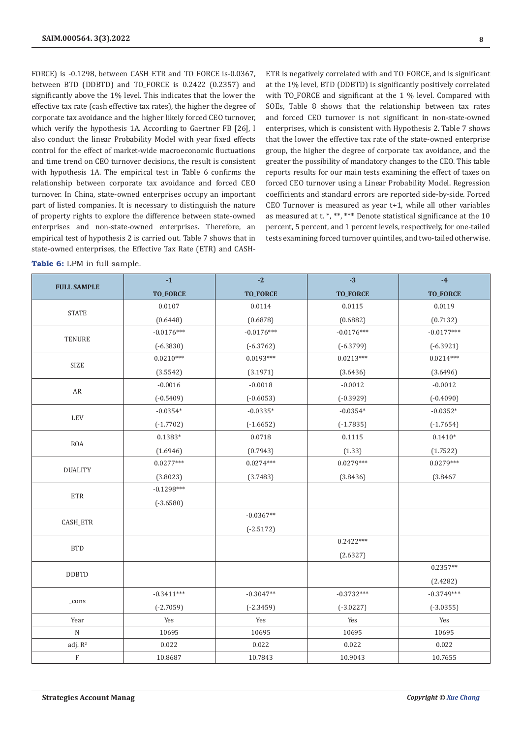FORCE) is -0.1298, between CASH\_ETR and TO\_FORCE is-0.0367, between BTD (DDBTD) and TO\_FORCE is 0.2422 (0.2357) and significantly above the 1% level. This indicates that the lower the effective tax rate (cash effective tax rates), the higher the degree of corporate tax avoidance and the higher likely forced CEO turnover, which verify the hypothesis 1A. According to Gaertner FB [26], I also conduct the linear Probability Model with year fixed effects control for the effect of market-wide macroeconomic fluctuations and time trend on CEO turnover decisions, the result is consistent with hypothesis 1A. The empirical test in Table 6 confirms the relationship between corporate tax avoidance and forced CEO turnover. In China, state-owned enterprises occupy an important part of listed companies. It is necessary to distinguish the nature of property rights to explore the difference between state-owned enterprises and non-state-owned enterprises. Therefore, an empirical test of hypothesis 2 is carried out. Table 7 shows that in state-owned enterprises, the Effective Tax Rate (ETR) and CASH-

ETR is negatively correlated with and TO\_FORCE, and is significant at the 1% level, BTD (DDBTD) is significantly positively correlated with TO\_FORCE and significant at the 1 % level. Compared with SOEs, Table 8 shows that the relationship between tax rates and forced CEO turnover is not significant in non-state-owned enterprises, which is consistent with Hypothesis 2. Table 7 shows that the lower the effective tax rate of the state-owned enterprise group, the higher the degree of corporate tax avoidance, and the greater the possibility of mandatory changes to the CEO. This table reports results for our main tests examining the effect of taxes on forced CEO turnover using a Linear Probability Model. Regression coefficients and standard errors are reported side-by-side. Forced CEO Turnover is measured as year t+1, while all other variables as measured at t. \*, \*\*, \*\*\* Denote statistical significance at the  $10$ percent, 5 percent, and 1 percent levels, respectively, for one-tailed tests examining forced turnover quintiles, and two-tailed otherwise.

| <b>Table 6:</b> LPM in full sample. |  |  |  |  |
|-------------------------------------|--|--|--|--|
|-------------------------------------|--|--|--|--|

|                           | $-1$            | $-2$            | $-3$            | $-4$            |
|---------------------------|-----------------|-----------------|-----------------|-----------------|
| <b>FULL SAMPLE</b>        | <b>TO_FORCE</b> | <b>TO_FORCE</b> | <b>TO_FORCE</b> | <b>TO_FORCE</b> |
|                           | 0.0107          | 0.0114          | 0.0115          | 0.0119          |
| <b>STATE</b>              | (0.6448)        | (0.6878)        | (0.6882)        | (0.7132)        |
| <b>TENURE</b>             | $-0.0176***$    | $-0.0176***$    | $-0.0176***$    | $-0.0177***$    |
|                           | $(-6.3830)$     | $(-6.3762)$     | $(-6.3799)$     | $(-6.3921)$     |
| <b>SIZE</b>               | $0.0210***$     | $0.0193***$     | $0.0213***$     | $0.0214***$     |
|                           | (3.5542)        | (3.1971)        | (3.6436)        | (3.6496)        |
| AR                        | $-0.0016$       | $-0.0018$       | $-0.0012$       | $-0.0012$       |
|                           | $(-0.5409)$     | $(-0.6053)$     | $(-0.3929)$     | $(-0.4090)$     |
|                           | $-0.0354*$      | $-0.0335*$      | $-0.0354*$      | $-0.0352*$      |
| LEV                       | $(-1.7702)$     | $(-1.6652)$     | $(-1.7835)$     | $(-1.7654)$     |
| <b>ROA</b>                | $0.1383*$       | 0.0718          | 0.1115          | $0.1410*$       |
|                           | (1.6946)        | (0.7943)        | (1.33)          | (1.7522)        |
|                           | $0.0277***$     | $0.0274***$     | $0.0279***$     | $0.0279***$     |
| <b>DUALITY</b>            | (3.8023)        | (3.7483)        | (3.8436)        | (3.8467)        |
| <b>ETR</b>                | $-0.1298***$    |                 |                 |                 |
|                           | $(-3.6580)$     |                 |                 |                 |
| CASH_ETR                  |                 | $-0.0367**$     |                 |                 |
|                           |                 | $(-2.5172)$     |                 |                 |
| <b>BTD</b>                |                 |                 | $0.2422***$     |                 |
|                           |                 |                 | (2.6327)        |                 |
| <b>DDBTD</b>              |                 |                 |                 | $0.2357**$      |
|                           |                 |                 |                 | (2.4282)        |
|                           | $-0.3411***$    | $-0.3047**$     | $-0.3732***$    | $-0.3749***$    |
| _cons                     | $(-2.7059)$     | $(-2.3459)$     | $(-3.0227)$     | $(-3.0355)$     |
| Year                      | Yes             | Yes             | Yes             | Yes             |
| ${\bf N}$                 | 10695           | 10695           | 10695           | 10695           |
| adj. $R^2$                | 0.022           | 0.022           | 0.022           | 0.022           |
| $\boldsymbol{\mathrm{F}}$ | 10.8687         | 10.7843         | 10.9043         | 10.7655         |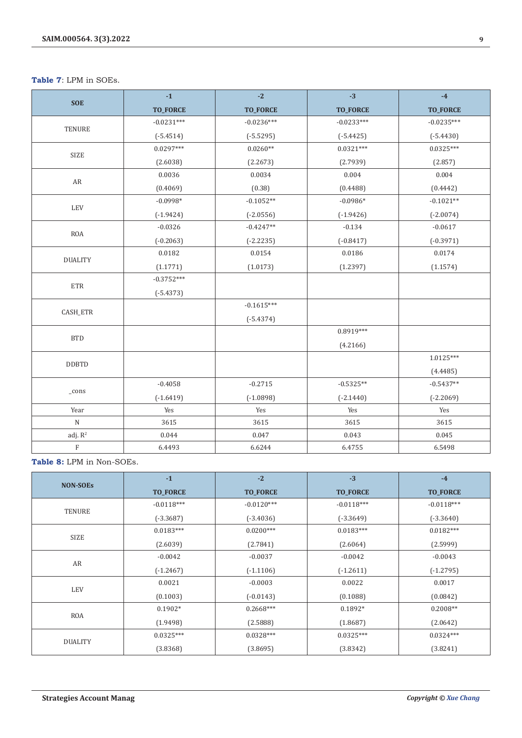**Table 7**: LPM in SOEs.

|                | $-1$            | $-2$            | $-3$            | $-4$            |
|----------------|-----------------|-----------------|-----------------|-----------------|
| <b>SOE</b>     | <b>TO_FORCE</b> | <b>TO_FORCE</b> | <b>TO_FORCE</b> | <b>TO_FORCE</b> |
| <b>TENURE</b>  | $-0.0231***$    | $-0.0236***$    | $-0.0233***$    | $-0.0235***$    |
|                | $(-5.4514)$     | $(-5.5295)$     | $(-5.4425)$     | $(-5.4430)$     |
|                | $0.0297***$     | $0.0260**$      | $0.0321***$     | $0.0325***$     |
| <b>SIZE</b>    | (2.6038)        | (2.2673)        | (2.7939)        | (2.857)         |
|                | 0.0036          | 0.0034          | 0.004           | 0.004           |
| AR             | (0.4069)        | (0.38)          | (0.4488)        | (0.4442)        |
|                | $-0.0998*$      | $-0.1052**$     | $-0.0986*$      | $-0.1021**$     |
| LEV            | $(-1.9424)$     | $(-2.0556)$     | $(-1.9426)$     | $(-2.0074)$     |
|                | $-0.0326$       | $-0.4247**$     | $-0.134$        | $-0.0617$       |
| <b>ROA</b>     | $(-0.2063)$     | $(-2.2235)$     | $(-0.8417)$     | $(-0.3971)$     |
|                | 0.0182          | 0.0154          | 0.0186          | 0.0174          |
| <b>DUALITY</b> | (1.1771)        | (1.0173)        | (1.2397)        | (1.1574)        |
|                | $-0.3752***$    |                 |                 |                 |
| ETR            | $(-5.4373)$     |                 |                 |                 |
|                |                 | $-0.1615***$    |                 |                 |
| CASH_ETR       |                 | $(-5.4374)$     |                 |                 |
|                |                 |                 | $0.8919***$     |                 |
| <b>BTD</b>     |                 |                 | (4.2166)        |                 |
| <b>DDBTD</b>   |                 |                 |                 | 1.0125***       |
|                |                 |                 |                 | (4.4485)        |
|                | $-0.4058$       | $-0.2715$       | $-0.5325**$     | $-0.5437**$     |
| $_{\rm -cons}$ | $(-1.6419)$     | $(-1.0898)$     | $(-2.1440)$     | $(-2.2069)$     |
| Year           | Yes             | Yes             | Yes             | Yes             |
| ${\bf N}$      | 3615            | 3615            | 3615            | 3615            |
| adj. $R^2$     | 0.044           | 0.047           | 0.043           | 0.045           |
| $\rm F$        | 6.4493          | 6.6244          | 6.4755          | 6.5498          |

**Table 8:** LPM in Non-SOEs.

|                 | $-1$            | $-2$            | $-3$            | $-4$            |
|-----------------|-----------------|-----------------|-----------------|-----------------|
| <b>NON-SOES</b> | <b>TO_FORCE</b> | <b>TO_FORCE</b> | <b>TO_FORCE</b> | <b>TO_FORCE</b> |
|                 | $-0.0118***$    | $-0.0120***$    | $-0.0118***$    | $-0.0118***$    |
| <b>TENURE</b>   | $(-3.3687)$     | $(-3.4036)$     | $(-3.3649)$     | $(-3.3640)$     |
| <b>SIZE</b>     | $0.0183***$     | $0.0200***$     | $0.0183***$     | $0.0182***$     |
|                 | (2.6039)        | (2.7841)        | (2.6064)        | (2.5999)        |
|                 | $-0.0042$       | $-0.0037$       | $-0.0042$       | $-0.0043$       |
| AR              | $(-1.2467)$     | $(-1.1106)$     | $(-1.2611)$     | $(-1.2795)$     |
| <b>LEV</b>      | 0.0021          | $-0.0003$       | 0.0022          | 0.0017          |
|                 | (0.1003)        | $(-0.0143)$     | (0.1088)        | (0.0842)        |
|                 | $0.1902*$       | $0.2668***$     | $0.1892*$       | $0.2008**$      |
| <b>ROA</b>      | (1.9498)        | (2.5888)        | (1.8687)        | (2.0642)        |
| <b>DUALITY</b>  | $0.0325***$     | $0.0328***$     | $0.0325***$     | $0.0324***$     |
|                 | (3.8368)        | (3.8695)        | (3.8342)        | (3.8241)        |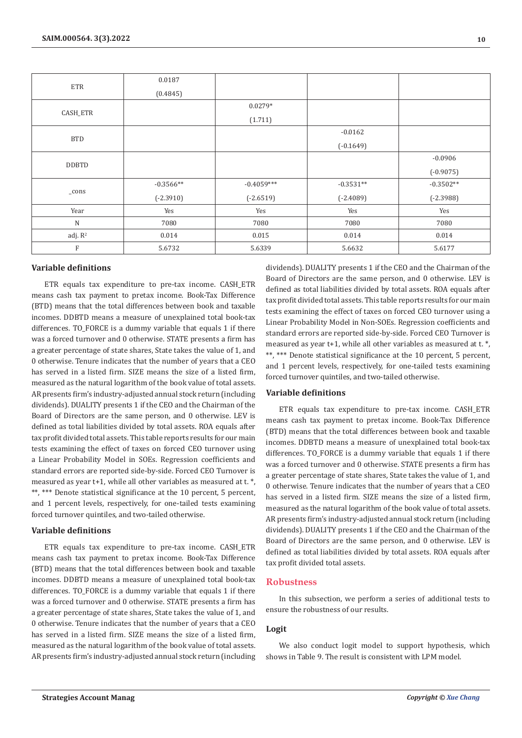|                 | 0.0187      |              |             |             |
|-----------------|-------------|--------------|-------------|-------------|
| <b>ETR</b>      | (0.4845)    |              |             |             |
|                 |             | $0.0279*$    |             |             |
| CASH_ETR        |             | (1.711)      |             |             |
| <b>BTD</b>      |             |              | $-0.0162$   |             |
|                 |             |              | $(-0.1649)$ |             |
| <b>DDBTD</b>    |             |              |             | $-0.0906$   |
|                 |             |              |             | $(-0.9075)$ |
|                 | $-0.3566**$ | $-0.4059***$ | $-0.3531**$ | $-0.3502**$ |
| $_{\rm \_cons}$ | $(-2.3910)$ | $(-2.6519)$  | $(-2.4089)$ | $(-2.3988)$ |
| Year            | Yes         | Yes          | Yes         | Yes         |
| $\mathbf N$     | 7080        | 7080         | 7080        | 7080        |
| adj. $R^2$      | 0.014       | 0.015        | 0.014       | 0.014       |
| $\mathbf{F}$    | 5.6732      | 5.6339       | 5.6632      | 5.6177      |

#### **Variable definitions**

ETR equals tax expenditure to pre-tax income. CASH\_ETR means cash tax payment to pretax income. Book-Tax Difference (BTD) means that the total differences between book and taxable incomes. DDBTD means a measure of unexplained total book-tax differences. TO\_FORCE is a dummy variable that equals 1 if there was a forced turnover and 0 otherwise. STATE presents a firm has a greater percentage of state shares, State takes the value of 1, and 0 otherwise. Tenure indicates that the number of years that a CEO has served in a listed firm. SIZE means the size of a listed firm, measured as the natural logarithm of the book value of total assets. AR presents firm's industry-adjusted annual stock return (including dividends). DUALITY presents 1 if the CEO and the Chairman of the Board of Directors are the same person, and 0 otherwise. LEV is defined as total liabilities divided by total assets. ROA equals after tax profit divided total assets. This table reports results for our main tests examining the effect of taxes on forced CEO turnover using a Linear Probability Model in SOEs. Regression coefficients and standard errors are reported side-by-side. Forced CEO Turnover is measured as year t+1, while all other variables as measured at t. \*, \*\*, \*\*\* Denote statistical significance at the 10 percent, 5 percent, and 1 percent levels, respectively, for one-tailed tests examining forced turnover quintiles, and two-tailed otherwise.

#### **Variable definitions**

ETR equals tax expenditure to pre-tax income. CASH\_ETR means cash tax payment to pretax income. Book-Tax Difference (BTD) means that the total differences between book and taxable incomes. DDBTD means a measure of unexplained total book-tax differences. TO\_FORCE is a dummy variable that equals 1 if there was a forced turnover and 0 otherwise. STATE presents a firm has a greater percentage of state shares, State takes the value of 1, and 0 otherwise. Tenure indicates that the number of years that a CEO has served in a listed firm. SIZE means the size of a listed firm, measured as the natural logarithm of the book value of total assets. AR presents firm's industry-adjusted annual stock return (including dividends). DUALITY presents 1 if the CEO and the Chairman of the Board of Directors are the same person, and 0 otherwise. LEV is defined as total liabilities divided by total assets. ROA equals after tax profit divided total assets. This table reports results for our main tests examining the effect of taxes on forced CEO turnover using a Linear Probability Model in Non-SOEs. Regression coefficients and standard errors are reported side-by-side. Forced CEO Turnover is measured as year t+1, while all other variables as measured at t. \*, \*\*, \*\*\* Denote statistical significance at the 10 percent, 5 percent, and 1 percent levels, respectively, for one-tailed tests examining forced turnover quintiles, and two-tailed otherwise.

#### **Variable definitions**

ETR equals tax expenditure to pre-tax income. CASH\_ETR means cash tax payment to pretax income. Book-Tax Difference (BTD) means that the total differences between book and taxable incomes. DDBTD means a measure of unexplained total book-tax differences. TO\_FORCE is a dummy variable that equals 1 if there was a forced turnover and 0 otherwise. STATE presents a firm has a greater percentage of state shares, State takes the value of 1, and 0 otherwise. Tenure indicates that the number of years that a CEO has served in a listed firm. SIZE means the size of a listed firm, measured as the natural logarithm of the book value of total assets. AR presents firm's industry-adjusted annual stock return (including dividends). DUALITY presents 1 if the CEO and the Chairman of the Board of Directors are the same person, and 0 otherwise. LEV is defined as total liabilities divided by total assets. ROA equals after tax profit divided total assets.

## **Robustness**

In this subsection, we perform a series of additional tests to ensure the robustness of our results.

#### **Logit**

We also conduct logit model to support hypothesis, which shows in Table 9. The result is consistent with LPM model.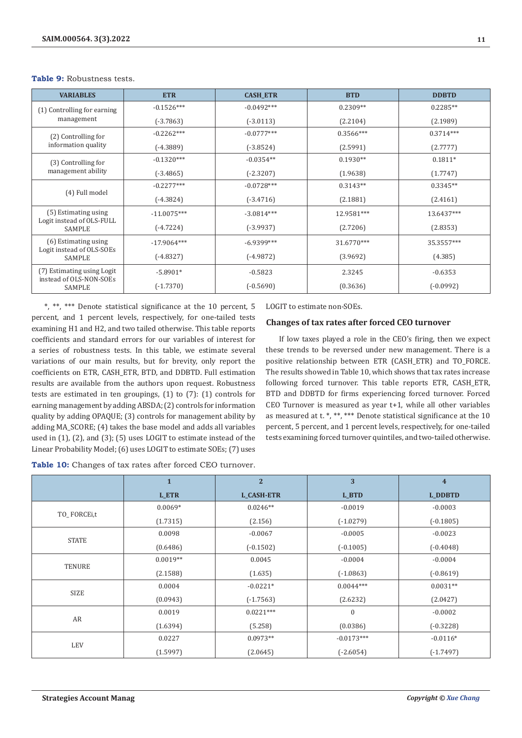| <b>VARIABLES</b>                                            | <b>ETR</b>    | <b>CASH_ETR</b> | <b>BTD</b>  | <b>DDBTD</b> |
|-------------------------------------------------------------|---------------|-----------------|-------------|--------------|
| (1) Controlling for earning                                 | $-0.1526***$  | $-0.0492***$    | $0.2309**$  | $0.2285**$   |
| management                                                  | $(-3.7863)$   | $(-3.0113)$     | (2.2104)    | (2.1989)     |
| (2) Controlling for                                         | $-0.2262***$  | $-0.0777***$    | $0.3566***$ | $0.3714***$  |
| information quality                                         | $(-4.3889)$   | $(-3.8524)$     | (2.5991)    | (2.7777)     |
| (3) Controlling for                                         | $-0.1320***$  | $-0.0354**$     | $0.1930**$  | $0.1811*$    |
| management ability                                          | $(-3.4865)$   | $(-2.3207)$     | (1.9638)    | (1.7747)     |
|                                                             | $-0.2277***$  | $-0.0728***$    | $0.3143**$  | $0.3345**$   |
| (4) Full model                                              | $(-4.3824)$   | $(-3.4716)$     | (2.1881)    | (2.4161)     |
| (5) Estimating using                                        | $-11.0075***$ | $-3.0814***$    | 12.9581***  | 13.6437***   |
| Logit instead of OLS-FULL<br><b>SAMPLE</b>                  | $(-4.7224)$   | $(-3.9937)$     | (2.7206)    | (2.8353)     |
| (6) Estimating using<br>Logit instead of OLS-SOEs<br>SAMPLE | $-17.9064***$ | $-6.9399***$    | 31.6770***  | 35.3557***   |
|                                                             | $(-4.8327)$   | $(-4.9872)$     | (3.9692)    | (4.385)      |
| (7) Estimating using Logit                                  | $-5.8901*$    | $-0.5823$       | 2.3245      | $-0.6353$    |
| instead of OLS-NON-SOEs<br>SAMPLE                           | $(-1.7370)$   | $(-0.5690)$     | (0.3636)    | $(-0.0992)$  |

**Table 9:** Robustness tests.

\*, \*\*, \*\*\* Denote statistical significance at the 10 percent, 5 percent, and 1 percent levels, respectively, for one-tailed tests examining H1 and H2, and two tailed otherwise. This table reports coefficients and standard errors for our variables of interest for a series of robustness tests. In this table, we estimate several variations of our main results, but for brevity, only report the coefficients on ETR, CASH\_ETR, BTD, and DDBTD. Full estimation results are available from the authors upon request. Robustness tests are estimated in ten groupings, (1) to (7): (1) controls for earning management by adding ABSDA; (2) controls for information quality by adding OPAQUE; (3) controls for management ability by adding MA\_SCORE; (4) takes the base model and adds all variables used in (1), (2), and (3); (5) uses LOGIT to estimate instead of the Linear Probability Model; (6) uses LOGIT to estimate SOEs; (7) uses

LOGIT to estimate non-SOEs.

# **Changes of tax rates after forced CEO turnover**

If low taxes played a role in the CEO's firing, then we expect these trends to be reversed under new management. There is a positive relationship between ETR (CASH\_ETR) and TO\_FORCE. The results showed in Table 10, which shows that tax rates increase following forced turnover. This table reports ETR, CASH\_ETR, BTD and DDBTD for firms experiencing forced turnover. Forced CEO Turnover is measured as year t+1, while all other variables as measured at t. \*, \*\*, \*\*\* Denote statistical significance at the 10 percent, 5 percent, and 1 percent levels, respectively, for one-tailed tests examining forced turnover quintiles, and two-tailed otherwise.

**Table 10:** Changes of tax rates after forced CEO turnover.

|               | $\mathbf{1}$ | $\overline{2}$    | 3                | $\overline{\mathbf{4}}$ |
|---------------|--------------|-------------------|------------------|-------------------------|
|               | L_ETR        | <b>L_CASH-ETR</b> | L_BTD            | L_DDBTD                 |
|               | $0.0069*$    | $0.0246**$        | $-0.0019$        | $-0.0003$               |
| TO_FORCEi,t   | (1.7315)     | (2.156)           | $(-1.0279)$      | $(-0.1805)$             |
| <b>STATE</b>  | 0.0098       | $-0.0067$         | $-0.0005$        | $-0.0023$               |
|               | (0.6486)     | $(-0.1502)$       | $(-0.1005)$      | $(-0.4048)$             |
|               | $0.0019**$   | 0.0045            | $-0.0004$        | $-0.0004$               |
| <b>TENURE</b> | (2.1588)     | (1.635)           | $(-1.0863)$      | $(-0.8619)$             |
|               | 0.0004       | $-0.0221*$        | $0.0044***$      | $0.0031**$              |
| SIZE          | (0.0943)     | $(-1.7563)$       | (2.6232)         | (2.0427)                |
| AR            | 0.0019       | $0.0221***$       | $\boldsymbol{0}$ | $-0.0002$               |
|               | (1.6394)     | (5.258)           | (0.0386)         | $(-0.3228)$             |
|               | 0.0227       | $0.0973**$        | $-0.0173***$     | $-0.0116*$              |
| LEV           | (1.5997)     | (2.0645)          | $(-2.6054)$      | $(-1.7497)$             |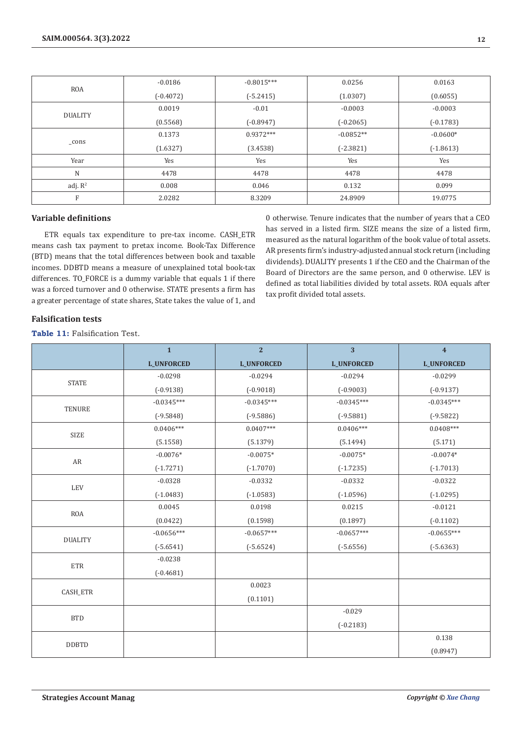| <b>ROA</b>     | $-0.0186$   | $-0.8015***$ | 0.0256      | 0.0163      |
|----------------|-------------|--------------|-------------|-------------|
|                | $(-0.4072)$ | $(-5.2415)$  | (1.0307)    | (0.6055)    |
| <b>DUALITY</b> | 0.0019      | $-0.01$      | $-0.0003$   | $-0.0003$   |
|                | (0.5568)    | $(-0.8947)$  | $(-0.2065)$ | $(-0.1783)$ |
| $_{\rm cons}$  | 0.1373      | $0.9372***$  | $-0.0852**$ | $-0.0600*$  |
|                | (1.6327)    | (3.4538)     | $(-2.3821)$ | $(-1.8613)$ |
| Year           | Yes         | Yes          | Yes         | Yes         |
| N              | 4478        | 4478         | 4478        | 4478        |
| adj. $R^2$     | 0.008       | 0.046        | 0.132       | 0.099       |
| F              | 2.0282      | 8.3209       | 24.8909     | 19.0775     |

# **Variable definitions**

ETR equals tax expenditure to pre-tax income. CASH\_ETR means cash tax payment to pretax income. Book-Tax Difference (BTD) means that the total differences between book and taxable incomes. DDBTD means a measure of unexplained total book-tax differences. TO\_FORCE is a dummy variable that equals 1 if there was a forced turnover and 0 otherwise. STATE presents a firm has a greater percentage of state shares, State takes the value of 1, and

0 otherwise. Tenure indicates that the number of years that a CEO has served in a listed firm. SIZE means the size of a listed firm, measured as the natural logarithm of the book value of total assets. AR presents firm's industry-adjusted annual stock return (including dividends). DUALITY presents 1 if the CEO and the Chairman of the Board of Directors are the same person, and 0 otherwise. LEV is defined as total liabilities divided by total assets. ROA equals after tax profit divided total assets.

# **Falsification tests**

**Table 11:** Falsification Test.

|                | $\mathbf{1}$      | $\overline{2}$    | 3                 | $\overline{4}$    |
|----------------|-------------------|-------------------|-------------------|-------------------|
|                | <b>L_UNFORCED</b> | <b>L_UNFORCED</b> | <b>L_UNFORCED</b> | <b>L_UNFORCED</b> |
| <b>STATE</b>   | $-0.0298$         | $-0.0294$         | $-0.0294$         | $-0.0299$         |
|                | $(-0.9138)$       | $(-0.9018)$       | $(-0.9003)$       | $(-0.9137)$       |
| <b>TENURE</b>  | $-0.0345***$      | $-0.0345***$      | $-0.0345***$      | $-0.0345***$      |
|                | $(-9.5848)$       | $(-9.5886)$       | $(-9.5881)$       | $(-9.5822)$       |
| <b>SIZE</b>    | $0.0406***$       | $0.0407***$       | $0.0406***$       | $0.0408***$       |
|                | (5.1558)          | (5.1379)          | (5.1494)          | (5.171)           |
| AR             | $-0.0076*$        | $-0.0075*$        | $-0.0075*$        | $-0.0074*$        |
|                | $(-1.7271)$       | $(-1.7070)$       | $(-1.7235)$       | $(-1.7013)$       |
| <b>LEV</b>     | $-0.0328$         | $-0.0332$         | $-0.0332$         | $-0.0322$         |
|                | $(-1.0483)$       | $(-1.0583)$       | $(-1.0596)$       | $(-1.0295)$       |
| <b>ROA</b>     | 0.0045            | 0.0198            | 0.0215            | $-0.0121$         |
|                | (0.0422)          | (0.1598)          | (0.1897)          | $(-0.1102)$       |
| <b>DUALITY</b> | $-0.0656***$      | $-0.0657***$      | $-0.0657***$      | $-0.0655***$      |
|                | $(-5.6541)$       | $(-5.6524)$       | $(-5.6556)$       | $(-5.6363)$       |
| <b>ETR</b>     | $-0.0238$         |                   |                   |                   |
|                | $(-0.4681)$       |                   |                   |                   |
| CASH_ETR       |                   | 0.0023            |                   |                   |
|                |                   | (0.1101)          |                   |                   |
| <b>BTD</b>     |                   |                   | $-0.029$          |                   |
|                |                   |                   | $(-0.2183)$       |                   |
| <b>DDBTD</b>   |                   |                   |                   | 0.138             |
|                |                   |                   |                   | (0.8947)          |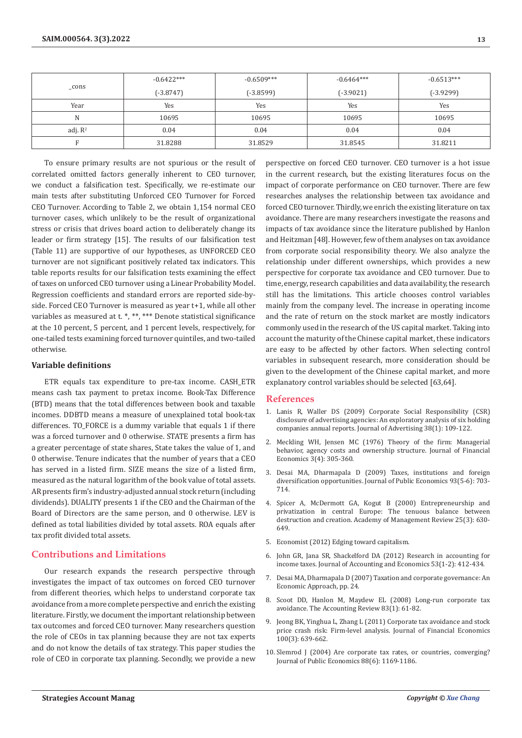| _cons      | $-0.6422***$ | $-0.6509***$ | $-0.6464***$ | $-0.6513***$ |
|------------|--------------|--------------|--------------|--------------|
|            | $(-3.8747)$  | $(-3.8599)$  | $(-3.9021)$  | $(-3.9299)$  |
| Year       | Yes          | Yes          | Yes          | Yes          |
| N          | 10695        | 10695        | 10695        | 10695        |
| adj. $R^2$ | 0.04         | 0.04         | 0.04         | 0.04         |
|            | 31.8288      | 31.8529      | 31.8545      | 31.8211      |

To ensure primary results are not spurious or the result of correlated omitted factors generally inherent to CEO turnover, we conduct a falsification test. Specifically, we re-estimate our main tests after substituting Unforced CEO Turnover for Forced CEO Turnover. According to Table 2, we obtain 1,154 normal CEO turnover cases, which unlikely to be the result of organizational stress or crisis that drives board action to deliberately change its leader or firm strategy [15]. The results of our falsification test (Table 11) are supportive of our hypotheses, as UNFORCED CEO turnover are not significant positively related tax indicators. This table reports results for our falsification tests examining the effect of taxes on unforced CEO turnover using a Linear Probability Model. Regression coefficients and standard errors are reported side-byside. Forced CEO Turnover is measured as year t+1, while all other variables as measured at t. \*, \*\*, \*\*\* Denote statistical significance at the 10 percent, 5 percent, and 1 percent levels, respectively, for one-tailed tests examining forced turnover quintiles, and two-tailed otherwise.

# **Variable definitions**

ETR equals tax expenditure to pre-tax income. CASH\_ETR means cash tax payment to pretax income. Book-Tax Difference (BTD) means that the total differences between book and taxable incomes. DDBTD means a measure of unexplained total book-tax differences. TO\_FORCE is a dummy variable that equals 1 if there was a forced turnover and 0 otherwise. STATE presents a firm has a greater percentage of state shares, State takes the value of 1, and 0 otherwise. Tenure indicates that the number of years that a CEO has served in a listed firm. SIZE means the size of a listed firm, measured as the natural logarithm of the book value of total assets. AR presents firm's industry-adjusted annual stock return (including dividends). DUALITY presents 1 if the CEO and the Chairman of the Board of Directors are the same person, and 0 otherwise. LEV is defined as total liabilities divided by total assets. ROA equals after tax profit divided total assets.

# **Contributions and Limitations**

Our research expands the research perspective through investigates the impact of tax outcomes on forced CEO turnover from different theories, which helps to understand corporate tax avoidance from a more complete perspective and enrich the existing literature. Firstly, we document the important relationship between tax outcomes and forced CEO turnover. Many researchers question the role of CEOs in tax planning because they are not tax experts and do not know the details of tax strategy. This paper studies the role of CEO in corporate tax planning. Secondly, we provide a new

perspective on forced CEO turnover. CEO turnover is a hot issue in the current research, but the existing literatures focus on the impact of corporate performance on CEO turnover. There are few researches analyses the relationship between tax avoidance and forced CEO turnover. Thirdly, we enrich the existing literature on tax avoidance. There are many researchers investigate the reasons and impacts of tax avoidance since the literature published by Hanlon and Heitzman [48]. However, few of them analyses on tax avoidance from corporate social responsibility theory. We also analyze the relationship under different ownerships, which provides a new perspective for corporate tax avoidance and CEO turnover. Due to time, energy, research capabilities and data availability, the research still has the limitations. This article chooses control variables mainly from the company level. The increase in operating income and the rate of return on the stock market are mostly indicators commonly used in the research of the US capital market. Taking into account the maturity of the Chinese capital market, these indicators are easy to be affected by other factors. When selecting control variables in subsequent research, more consideration should be given to the development of the Chinese capital market, and more explanatory control variables should be selected [63,64].

#### **References**

- 1. [Lanis R, Waller DS \(2009\) Corporate Social Responsibility \(CSR\)](https://opus.lib.uts.edu.au/handle/10453/10252) [disclosure of advertising agencies: An exploratory analysis of six holding](https://opus.lib.uts.edu.au/handle/10453/10252) [companies annual reports. Journal of Advertising 38\(1\): 109-122.](https://opus.lib.uts.edu.au/handle/10453/10252)
- 2. [Meckling WH, Jensen MC \(1976\) Theory of the firm: Managerial](https://www.sciencedirect.com/science/article/pii/0304405X7690026X) [behavior, agency costs and ownership structure. Journal of Financial](https://www.sciencedirect.com/science/article/pii/0304405X7690026X) [Economics 3\(4\): 305-360.](https://www.sciencedirect.com/science/article/pii/0304405X7690026X)
- 3. [Desai MA, Dharmapala D \(2009\) Taxes, institutions and foreign](https://www.nber.org/papers/w13132) [diversification opportunities. Journal of Public Economics 93\(5-6\): 703-](https://www.nber.org/papers/w13132) [714.](https://www.nber.org/papers/w13132)
- 4. [Spicer A, McDermott GA, Kogut B \(2000\) Entrepreneurship and](https://www.jstor.org/stable/259315) [privatization in central Europe: The tenuous balance between](https://www.jstor.org/stable/259315) [destruction and creation. Academy of Management Review 25\(3\): 630-](https://www.jstor.org/stable/259315) [649.](https://www.jstor.org/stable/259315)
- 5. Economist (2012) Edging toward capitalism.
- 6. [John GR, Jana SR, Shackelford DA \(2012\) Research in accounting for](https://www.sciencedirect.com/science/article/abs/pii/S0165410111000942) [income taxes. Journal of Accounting and Economics 53\(1-2\): 412-434.](https://www.sciencedirect.com/science/article/abs/pii/S0165410111000942)
- 7. [Desai MA, Dharmapala D \(2007\) Taxation and corporate governance: An](https://papers.ssrn.com/sol3/papers.cfm?abstract_id=983563) [Economic Approach, pp. 24.](https://papers.ssrn.com/sol3/papers.cfm?abstract_id=983563)
- 8. [Scoot DD, Hanlon M, Maydew EL \(2008\) Long-run corporate tax](https://www.jstor.org/stable/30243511) [avoidance. The Accounting Review 83\(1\): 61-82.](https://www.jstor.org/stable/30243511)
- 9. [Jeong BK, Yinghua L, Zhang L \(2011\) Corporate tax avoidance and stock](https://www.sciencedirect.com/science/article/abs/pii/S0304405X1100033X) [price crash risk: Firm-level analysis. Journal of Financial Economics](https://www.sciencedirect.com/science/article/abs/pii/S0304405X1100033X) [100\(3\): 639-662.](https://www.sciencedirect.com/science/article/abs/pii/S0304405X1100033X)
- 10. [Slemrod J \(2004\) Are corporate tax rates, or countries, converging?](https://www.sciencedirect.com/science/article/abs/pii/S0047272703000616) [Journal of Public Economics 88\(6\): 1169-1186.](https://www.sciencedirect.com/science/article/abs/pii/S0047272703000616)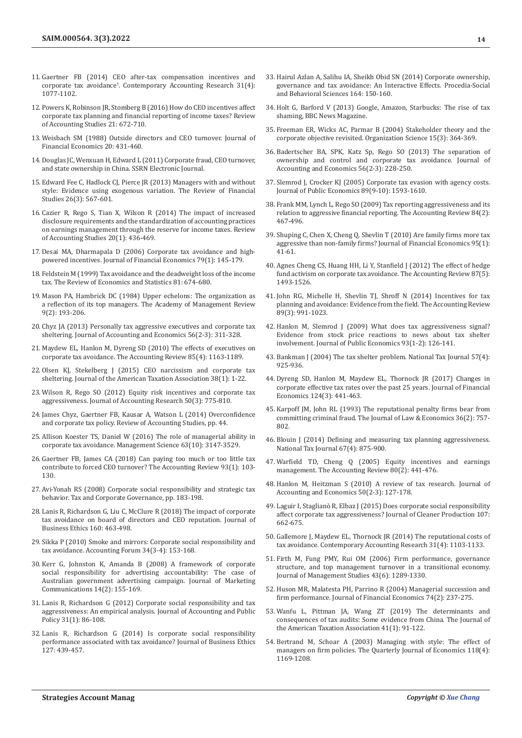- 11. [Gaertner FB \(2014\) CEO after-tax compensation incentives and](https://onlinelibrary.wiley.com/doi/abs/10.1111/1911-3846.12058)  corporate tax avoidance† [. Contemporary Accounting Research 31\(4\):](https://onlinelibrary.wiley.com/doi/abs/10.1111/1911-3846.12058)  [1077-1102.](https://onlinelibrary.wiley.com/doi/abs/10.1111/1911-3846.12058)
- 12. [Powers K, Robinson JR, Stomberg B \(2016\) How do CEO incentives affect](https://link.springer.com/article/10.1007/s11142-016-9350-6)  [corporate tax planning and financial reporting of income taxes? Review](https://link.springer.com/article/10.1007/s11142-016-9350-6)  [of Accounting Studies 21: 672-710.](https://link.springer.com/article/10.1007/s11142-016-9350-6)
- 13. [Weisbach SM \(1988\) Outside directors and CEO turnover. Journal of](https://www.sciencedirect.com/science/article/abs/pii/0304405X88900530)  [Financial Economics 20: 431-460.](https://www.sciencedirect.com/science/article/abs/pii/0304405X88900530)
- 14. Douglas JC, Wenxuan H, Edward L (2011) Corporate fraud, CEO turnover, and state ownership in China. SSRN Electronic Journal.
- 15. [Edward Fee C, Hadlock CJ, Pierce JR \(2013\) Managers with and without](https://academic.oup.com/rfs/article-abstract/26/3/567/1593100)  [style: Evidence using exogenous variation. The Review of Financial](https://academic.oup.com/rfs/article-abstract/26/3/567/1593100)  [Studies 26\(3\): 567-601.](https://academic.oup.com/rfs/article-abstract/26/3/567/1593100)
- 16. Cazier R, Rego S, Tian X, Wilson R (2014) The impact of increased disclosure requirements and the standardization of accounting practices on earnings management through the reserve for income taxes. Review of Accounting Studies 20(1): 436-469.
- 17. [Desai MA, Dharmapala D \(2006\) Corporate tax avoidance and high](https://www.sciencedirect.com/science/article/abs/pii/S0304405X05001364)[powered incentives. Journal of Financial Economics 79\(1\): 145-179.](https://www.sciencedirect.com/science/article/abs/pii/S0304405X05001364)
- 18. [Feldstein M \(1999\) Tax avoidance and the deadweight loss of the income](https://www.jstor.org/stable/2646716)  [tax. The Review of Economics and Statistics 81: 674-680.](https://www.jstor.org/stable/2646716)
- 19. [Mason PA, Hambrick DC \(1984\) Upper echelons: The organization as](https://www.jstor.org/stable/258434)  [a reflection of its top managers. The Academy of Management Review](https://www.jstor.org/stable/258434)  [9\(2\): 193-206.](https://www.jstor.org/stable/258434)
- 20. [Chyz JA \(2013\) Personally tax aggressive executives and corporate tax](https://www.sciencedirect.com/science/article/abs/pii/S0165410113000578)  [sheltering. Journal of Accounting and Economics 56\(2-3\): 311-328.](https://www.sciencedirect.com/science/article/abs/pii/S0165410113000578)
- 21. Maydew EL, Hanlon M, Dyreng SD (2010) The effects of executives on corporate tax avoidance. The Accounting Review 85(4): 1163-1189.
- 22. Olsen KJ, Stekelberg J (2015) CEO narcissism and corporate tax sheltering. Journal of the American Taxation Association 38(1): 1-22.
- 23. [Wilson R, Rego SO \(2012\) Equity risk incentives and corporate tax](https://onlinelibrary.wiley.com/doi/abs/10.1111/j.1475-679X.2012.00438.x)  [aggressiveness. Journal of Accounting Research 50\(3\): 775-810.](https://onlinelibrary.wiley.com/doi/abs/10.1111/j.1475-679X.2012.00438.x)
- 24. [James Chyz, Gaertner FB, Kausar A, Watson L \(2014\) Overconfidence](https://papers.ssrn.com/sol3/papers.cfm?abstract_id=2408236)  [and corporate tax policy. Review of Accounting Studies, pp. 44.](https://papers.ssrn.com/sol3/papers.cfm?abstract_id=2408236)
- 25. Allison Koester TS, Daniel W (2016) The role of managerial ability in corporate tax avoidance. Management Science 63(10): 3147-3529.
- 26. Gaertner FB, James CA (2018) Can paying too much or too little tax contribute to forced CEO turnover? The Accounting Review 93(1): 103- 130.
- 27. Avi-Yonah RS (2008) Corporate social responsibility and strategic tax behavior. Tax and Corporate Governance, pp. 183-198.
- 28. [Lanis R, Richardson G, Liu C, McClure R \(2018\) The impact of corporate](https://link.springer.com/article/10.1007/s10551-018-3949-4)  [tax avoidance on board of directors and CEO reputation. Journal of](https://link.springer.com/article/10.1007/s10551-018-3949-4)  [Business Ethics 160: 463-498.](https://link.springer.com/article/10.1007/s10551-018-3949-4)
- 29. [Sikka P \(2010\) Smoke and mirrors: Corporate social responsibility and](https://www.sciencedirect.com/science/article/abs/pii/S0155998210000244)  [tax avoidance. Accounting Forum 34\(3-4\): 153-168.](https://www.sciencedirect.com/science/article/abs/pii/S0155998210000244)
- 30. Kerr G, Johnston K, Amanda B (2008) A framework of corporate social responsibility for advertising accountability: The case of Australian government advertising campaign. Journal of Marketing Communications 14(2): 155-169.
- 31. [Lanis R, Richardson G \(2012\) Corporate social responsibility and tax](https://www.sciencedirect.com/science/article/abs/pii/S0278425411001141)  [aggressiveness: An empirical analysis. Journal of Accounting and Public](https://www.sciencedirect.com/science/article/abs/pii/S0278425411001141)  [Policy 31\(1\): 86-108.](https://www.sciencedirect.com/science/article/abs/pii/S0278425411001141)
- 32. [Lanis R, Richardson G \(2014\) Is corporate social responsibility](https://link.springer.com/article/10.1007/s10551-014-2052-8)  [performance associated with tax avoidance? Journal of Business Ethics](https://link.springer.com/article/10.1007/s10551-014-2052-8)  [127: 439-457.](https://link.springer.com/article/10.1007/s10551-014-2052-8)
- 33. [Hairul Azlan A, Salihu IA, Sheikh Obid SN \(2014\) Corporate ownership,](https://www.sciencedirect.com/science/article/pii/S1877042814058832) [governance and tax avoidance: An Interactive Effects. Procedia-Social](https://www.sciencedirect.com/science/article/pii/S1877042814058832) [and Behavioral Sciences 164: 150-160.](https://www.sciencedirect.com/science/article/pii/S1877042814058832)
- 34. Holt G, Barford V (2013) Google, Amazon, Starbucks: The rise of tax shaming, BBC News Magazine.
- 35. [Freeman ER, Wicks AC, Parmar B \(2004\) Stakeholder theory and the](https://pubsonline.informs.org/doi/epdf/10.1287/orsc.1040.0066) [corporate objective revisited. Organization Science 15\(3\): 364-369.](https://pubsonline.informs.org/doi/epdf/10.1287/orsc.1040.0066)
- 36. [Badertscher BA, SPK, Katz Sp, Rego SO \(2013\) The separation of](https://www.sciencedirect.com/science/article/abs/pii/S0165410113000542) [ownership and control and corporate tax avoidance. Journal of](https://www.sciencedirect.com/science/article/abs/pii/S0165410113000542) [Accounting and Economics 56\(2-3\): 228-250.](https://www.sciencedirect.com/science/article/abs/pii/S0165410113000542)
- 37. [Slemrod J, Crocker KJ \(2005\) Corporate tax evasion with agency costs.](https://www.sciencedirect.com/science/article/abs/pii/S0047272704001537) [Journal of Public Economics 89\(9-10\): 1593-1610.](https://www.sciencedirect.com/science/article/abs/pii/S0047272704001537)
- 38. [Frank MM, Lynch L, Rego SO \(2009\) Tax reporting aggressiveness and its](https://www.jstor.org/stable/27802660) [relation to aggressive financial reporting. The Accounting Review 84\(2\):](https://www.jstor.org/stable/27802660) [467-496.](https://www.jstor.org/stable/27802660)
- 39. [Shuping C, Chen X, Cheng Q, Shevlin T \(2010\) Are family firms more tax](https://www.sciencedirect.com/science/article/abs/pii/S0304405X09001640) [aggressive than non-family firms? Journal of Financial Economics 95\(1\):](https://www.sciencedirect.com/science/article/abs/pii/S0304405X09001640) [41-61.](https://www.sciencedirect.com/science/article/abs/pii/S0304405X09001640)
- 40. [Agnes Cheng CS, Huang HH, Li Y, Stanfield J \(2012\) The effect of hedge](https://www.jstor.org/stable/41721900) [fund activism on corporate tax avoidance. The Accounting Review 87\(5\):](https://www.jstor.org/stable/41721900) [1493-1526.](https://www.jstor.org/stable/41721900)
- 41. [John RG, Michelle H, Shevlin TJ, Shroff N \(2014\) Incentives for tax](https://papers.ssrn.com/sol3/papers.cfm?abstract_id=2148407) [planning and avoidance: Evidence from the field. The Accounting Review](https://papers.ssrn.com/sol3/papers.cfm?abstract_id=2148407) [89\(3\): 991-1023.](https://papers.ssrn.com/sol3/papers.cfm?abstract_id=2148407)
- 42. [Hanlon M, Slemrod J \(2009\) What does tax aggressiveness signal?](https://www.sciencedirect.com/science/article/abs/pii/S0047272708001321?via%3Dihub) [Evidence from stock price reactions to news about tax shelter](https://www.sciencedirect.com/science/article/abs/pii/S0047272708001321?via%3Dihub) [involvement. Journal of Public Economics 93\(1-2\): 126-141.](https://www.sciencedirect.com/science/article/abs/pii/S0047272708001321?via%3Dihub)
- 43. [Bankman J \(2004\) The tax shelter problem. National Tax Journal 57\(4\):](https://www.jstor.org/stable/41790267) [925-936.](https://www.jstor.org/stable/41790267)
- 44. [Dyreng SD, Hanlon M, Maydew EL, Thornock JR \(2017\) Changes in](https://www.sciencedirect.com/science/article/abs/pii/S0304405X17300594) [corporate effective tax rates over the past 25 years. Journal of Financial](https://www.sciencedirect.com/science/article/abs/pii/S0304405X17300594) [Economics 124\(3\): 441-463.](https://www.sciencedirect.com/science/article/abs/pii/S0304405X17300594)
- 45. [Karpoff JM, John RL \(1993\) The reputational penalty firms bear from](https://www.jstor.org/stable/725807) [committing criminal fraud. The Journal of Law & Economics 36\(2\): 757-](https://www.jstor.org/stable/725807) [802.](https://www.jstor.org/stable/725807)
- 46. Blouin J (2014) Defining and measuring tax planning aggressiveness. National Tax Journal 67(4): 875-900.
- 47. [Warfield TD, Cheng Q \(2005\) Equity incentives and earnings](https://www.jstor.org/stable/4093065) [management. The Accounting Review 80\(2\): 441-476.](https://www.jstor.org/stable/4093065)
- 48. [Hanlon M, Heitzman S \(2010\) A review of tax research. Journal of](https://www.sciencedirect.com/science/article/abs/pii/S0165410110000340) [Accounting and Economics 50\(2-3\): 127-178.](https://www.sciencedirect.com/science/article/abs/pii/S0165410110000340)
- 49. [Laguir I, Staglianò R, Elbaz J \(2015\) Does corporate social responsibility](https://papers.ssrn.com/sol3/papers.cfm?abstract_id=2617629) [affect corporate tax aggressiveness? Journal of Cleaner Production 107:](https://papers.ssrn.com/sol3/papers.cfm?abstract_id=2617629) [662-675.](https://papers.ssrn.com/sol3/papers.cfm?abstract_id=2617629)
- 50. [Gallemore J, Maydew EL, Thornock JR \(2014\) The reputational costs of](https://onlinelibrary.wiley.com/doi/abs/10.1111/1911-3846.12055) [tax avoidance. Contemporary Accounting Research 31\(4\): 1103-1133.](https://onlinelibrary.wiley.com/doi/abs/10.1111/1911-3846.12055)
- 51. [Firth M, Fung PMY, Rui OM \(2006\) Firm performance, governance](https://papers.ssrn.com/sol3/papers.cfm?abstract_id=711543) [structure, and top management turnover in a transitional economy.](https://papers.ssrn.com/sol3/papers.cfm?abstract_id=711543) [Journal of Management Studies 43\(6\): 1289-1330.](https://papers.ssrn.com/sol3/papers.cfm?abstract_id=711543)
- 52. [Huson MR, Malatesta PH, Parrino R \(2004\) Managerial succession and](https://www.sciencedirect.com/science/article/abs/pii/S0304405X04000510) [firm performance. Journal of Financial Economics 74\(2\): 237-275.](https://www.sciencedirect.com/science/article/abs/pii/S0304405X04000510)
- 53. Wanfu L, Pittman JA, Wang ZT (2019) The determinants and consequences of tax audits: Some evidence from China. The Journal of the American Taxation Association 41(1): 91-122.
- 54. Bertrand M, Schoar A (2003) Managing with style: The effect of managers on firm policies. The Quarterly Journal of Economics 118(4): 1169-1208.